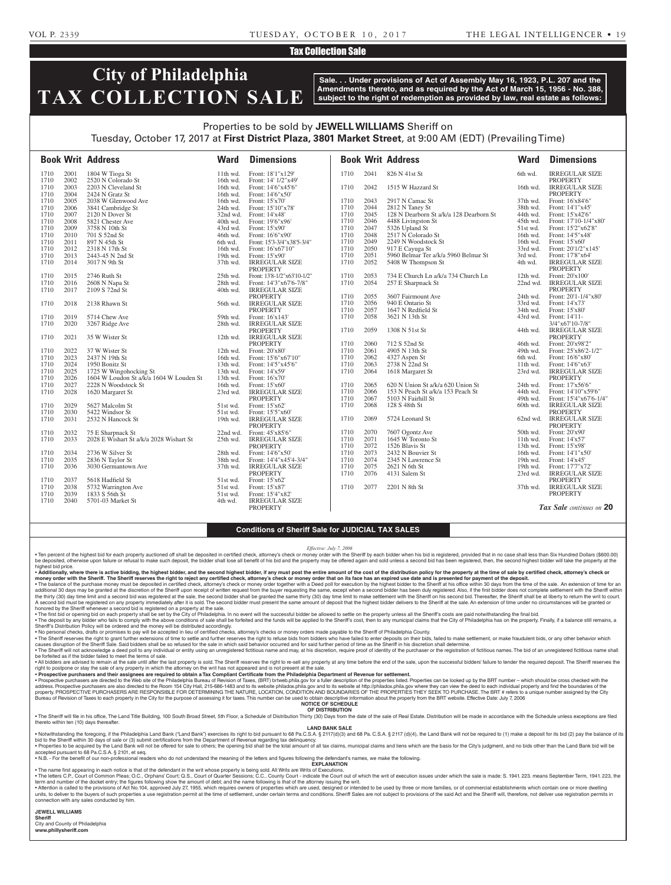#### VOL P. 2339 TUESDAY, O C T O B E R 1 0 , 2 0 1 7 THE LEGAL INTELLIGENCER • 1 9

#### Tax Collection Sale

## **City of Philadelphia TAX COLLECTION SALE**

**Sale. . . Under provisions of Act of Assembly May 16, 1923, P.L. 207 and the Amendments thereto, and as required by the Act of March 15, 1956 - No. 388, subject to the right of redemption as provided by law, real estate as follows:**

### Properties to be sold by **JEWELL WILLIAMS** Sheriff on Tuesday, October 17, 2017 at **First District Plaza, 3801 Market Street**, at 9:00 AM (EDT) (Prevailing Time)

|              |              | <b>Book Writ Address</b>                | <b>Ward</b>          | <b>Dimensions</b>                         |      |              | <b>Book Writ Address</b>                | <b>Ward</b> | <b>Dimensions</b>                        |
|--------------|--------------|-----------------------------------------|----------------------|-------------------------------------------|------|--------------|-----------------------------------------|-------------|------------------------------------------|
| 1710         | 2001         | 1804 W Tioga St                         | 11th wd.             | Front: 18'1"x129'                         | 1710 | 2041         | 826 N 41st St                           | 6th wd.     | <b>IRREGULAR SIZE</b>                    |
| 1710         | 2002         | 2520 N Colorado St                      | 16th wd.             | Front: 14' 1/2"x49'                       |      |              |                                         |             | <b>PROPERTY</b>                          |
| 1710         | 2003         | 2203 N Cleveland St                     | 16th wd.             | Front: 14'6"x45'6"                        | 1710 | 2042         | 1515 W Hazzard St                       | 16th wd.    | <b>IRREGULAR SIZE</b>                    |
| 1710<br>1710 | 2004<br>2005 | 2424 N Gratz St<br>2038 W Glenwood Ave  | 16th wd.<br>16th wd. | Front: 14'6"x50"<br>Front: 15'x70'        | 1710 | 2043         | 2917 N Camac St                         | 37th wd.    | <b>PROPERTY</b><br>Front: 16'x84'6"      |
| 1710         | 2006         | 3841 Cambridge St                       | 24th wd.             | Front: 15'10"x78'                         | 1710 | 2044         | 2812 N Taney St                         | 38th wd.    | Front: 14'1"x45'                         |
| 1710         | 2007         | 2120 N Dover St                         | 32nd wd.             | Front: 14'x48'                            | 1710 | 2045         | 128 N Dearborn St a/k/a 128 Dearborn St | 44th wd.    | Front: 15'x42'6"                         |
| 1710         | 2008         | 5821 Chester Ave                        | 40th wd.             | Front: 19'6"x96'                          | 1710 | 2046         | 4488 Livingston St                      | 45th wd.    | Front: 17'10-1/4"x80"                    |
| 1710         | 2009         | 3758 N 10th St                          | 43rd wd.             | Front: 15'x90'                            | 1710 | 2047         | 5326 Upland St                          | 51st wd.    | Front: 15'2"x62'8"                       |
| 1710         | 2010         | 701 S 52nd St                           | 46th wd.             | Front: 16'6"x90"                          | 1710 | 2048         | 2517 N Colorado St                      | 16th wd.    | Front: 14'5"x48"                         |
| 1710         | 2011         | 897 N 45th St                           | 6th wd.              | Front: 15'3-3/4"x38'5-3/4"                | 1710 | 2049         | 2249 N Woodstock St                     | 16th wd.    | Front: 15'x60'                           |
| 1710         | 2012         | 2318 N 17th St                          | 16th wd.             | Front: 16'x67'10"                         | 1710 | 2050         | 917 E Cayuga St                         | 33rd wd.    | Front: 20'1/2"x145'                      |
| 1710         | 2013         | 2443-45 N 2nd St                        | 19th wd.             | Front: 15'x90'                            | 1710 | 2051<br>2052 | 5960 Belmar Ter a/k/a 5960 Belmar St    | 3rd wd.     | Front: 17'8"x64"                         |
| 1710         | 2014         | 3017 N 9th St                           | 37th wd.             | <b>IRREGULAR SIZE</b><br><b>PROPERTY</b>  | 1710 |              | 5408 W Thompson St                      | 4th wd.     | <b>IRREGULAR SIZE</b><br><b>PROPERTY</b> |
| 1710         | 2015         | 2746 Ruth St                            | 25th wd.             | Front: 13'8-1/2"x63'10-1/2"               | 1710 | 2053         | 734 E Church Ln a/k/a 734 Church Ln     | 12th wd.    | Front: 20'x100'                          |
| 1710         | 2016         | 2608 N Napa St                          | 28th wd.             | Front: 14'3"x67'6-7/8"                    | 1710 | 2054         | 257 E Sharpnack St                      | $22nd$ wd.  | <b>IRREGULAR SIZE</b>                    |
| 1710         | 2017         | 2109 S 72nd St                          | $40th$ wd.           | <b>IRREGULAR SIZE</b>                     |      |              |                                         |             | <b>PROPERTY</b>                          |
|              |              |                                         |                      | <b>PROPERTY</b>                           | 1710 | 2055         | 3607 Fairmount Ave                      | 24th wd.    | Front: 20'1-1/4"x80"                     |
| 1710         | 2018         | 2138 Rhawn St                           | 56th wd.             | <b>IRREGULAR SIZE</b>                     | 1710 | 2056         | 940 E Ontario St                        | 33rd wd.    | Front: 14'x73'                           |
|              |              |                                         |                      | <b>PROPERTY</b>                           | 1710 | 2057         | 1647 N Redfield St                      | 34th wd.    | Front: 15'x80'                           |
| 1710         | 2019         | 5714 Chew Ave                           | 59th wd.             | Front: 16'x143'                           | 1710 | 2058         | 3621 N 13th St                          | 43rd wd.    | Front: 14'11-                            |
| 1710         | 2020         | 3267 Ridge Ave                          | 28th wd.             | <b>IRREGULAR SIZE</b>                     |      |              |                                         |             | 3/4"x67'10-7/8"                          |
| 1710         | 2021         | 35 W Wister St                          |                      | <b>PROPERTY</b>                           | 1710 | 2059         | 1308 N 51st St                          | 44th wd.    | <b>IRREGULAR SIZE</b><br><b>PROPERTY</b> |
|              |              |                                         | 12th wd.             | <b>IRREGULAR SIZE</b><br><b>PROPERTY</b>  | 1710 | 2060         | 712 S 52nd St                           | 46th wd.    | Front: 20'x98'2"                         |
| 1710         | 2022         | 37 W Wister St                          | 12th wd.             | Front: 20'x80'                            | 1710 | 2061         | 4905 N 13th St                          | 49th wd.    | Front: 25'x86'2-1/2"                     |
| 1710         | 2023         | 2437 N 19th St                          | 16th wd.             | Front: 15'6"x67'10"                       | 1710 | 2062         | 4327 Aspen St                           | 6th wd.     | Front: 16'6"x80"                         |
| 1710         | 2024         | 1950 Bonitz St                          | 13th wd.             | Front: 14'5"x45'6"                        | 1710 | 2063         | 2738 N 22nd St                          | 11th wd.    | Front: 14'6"x63'                         |
| 1710         | 2025         | 1725 W Wingohocking St                  | 13th wd.             | Front: 14'x59'                            | 1710 | 2064         | 1618 Margaret St                        | 23rd wd.    | <b>IRREGULAR SIZE</b>                    |
| 1710         | 2026         | 1604 W Loudon St a/k/a 1604 W Louden St | 13th wd.             | Front: 16'x70'                            |      |              |                                         |             | <b>PROPERTY</b>                          |
| 1710         | 2027         | 2228 N Woodstock St                     | 16th wd.             | Front: 15'x60'                            | 1710 | 2065         | 620 N Union St a/k/a 620 Union St       | 24th wd.    | Front: 17'x56'6"                         |
| 1710         | 2028         | 1620 Margaret St                        | 23rd wd.             | <b>IRREGULAR SIZE</b>                     | 1710 | 2066         | 153 N Peach St a/k/a 153 Peach St       | 44th wd.    | Front: 14'10"x59'6"                      |
|              |              |                                         |                      | <b>PROPERTY</b>                           | 1710 | 2067         | 5103 N Fairhill St                      | 49th wd.    | Front: 15'4"x67'6-1/4"                   |
| 1710         | 2029<br>2030 | 5627 Malcolm St                         | 51st wd.             | Front: 15'x62'                            | 1710 | 2068         | 128 S 48th St                           | 60th wd.    | <b>IRREGULAR SIZE</b><br><b>PROPERTY</b> |
| 1710<br>1710 | 2031         | 5422 Windsor St<br>2532 N Hancock St    | 51st wd.<br>19th wd. | Front: 15'5"x60"<br><b>IRREGULAR SIZE</b> | 1710 | 2069         | 5724 Leonard St                         | 62nd wd.    | <b>IRREGULAR SIZE</b>                    |
|              |              |                                         |                      | <b>PROPERTY</b>                           |      |              |                                         |             | <b>PROPERTY</b>                          |
| 1710         | 2032         | 75 E Sharpnack St                       | $22nd$ wd.           | Front: 45'x85'6"                          | 1710 | 2070         | 7607 Ogontz Ave                         | 50th wd.    | Front: 20'x90'                           |
| 1710         | 2033         | 2028 E Wishart St a/k/a 2028 Wishart St | $25th$ wd.           | <b>IRREGULAR SIZE</b>                     | 1710 | 2071         | 1645 W Toronto St                       | $11th$ wd.  | Front: 14'x57'                           |
|              |              |                                         |                      | <b>PROPERTY</b>                           | 1710 | 2072         | 1526 Blavis St                          | 13th wd.    | Front: 15'x98'                           |
| 1710         | 2034         | 2736 W Silver St                        | 28th wd.             | Front: 14'6"x50"                          | 1710 | 2073         | 2432 N Bouvier St                       | 16th wd.    | Front: 14'1"x50"                         |
| 1710         | 2035         | 2836 N Taylor St                        | 38th wd.             | Front: 14'4"x45'4-3/4"                    | 1710 | 2074         | 2345 N Lawrence St                      | 19th wd.    | Front: 14'x45'                           |
| 1710         | 2036         | 3030 Germantown Ave                     | 37th wd.             | <b>IRREGULAR SIZE</b>                     | 1710 | 2075         | 2621 N 6th St                           | 19th wd.    | Front: 17'7"x72'                         |
|              |              |                                         |                      | <b>PROPERTY</b>                           | 1710 | 2076         | 4131 Salem St                           | 23rd wd.    | <b>IRREGULAR SIZE</b>                    |
| 1710         | 2037         | 5618 Hadfield St                        | 51st wd.             | Front: 15'x62'                            |      |              |                                         |             | <b>PROPERTY</b>                          |
| 1710<br>1710 | 2038<br>2039 | 5732 Warrington Ave<br>1833 S 56th St   | 51st wd.<br>51st wd. | Front: 15'x87'<br>Front: 15'4"x82"        | 1710 | 2077         | 2201 N 8th St                           | 37th wd.    | <b>IRREGULAR SIZE</b><br><b>PROPERTY</b> |
| 1710         | 2040         | 5701-03 Market St                       | 4th wd.              | <b>IRREGULAR SIZE</b>                     |      |              |                                         |             |                                          |
|              |              |                                         |                      | <b>PROPERTY</b>                           |      |              |                                         |             | Tax Sale continues on 20                 |
|              |              |                                         |                      |                                           |      |              |                                         |             |                                          |

#### **Conditions of Sheriff Sale for JUDICIAL TAX SALES**

*Effective: July 7, 2006*

. Ten nercent of the highest hid for each property auctioned off shall be deposited in certified check, attorney's check or money order with the Sheriff by each bidder when his bid is registered, provided that in no case s be deposited, otherwise upon failure or refusal to make such deposit, the bidder shall lose all benefit of his bid and the property may be offered again and sold unless a second bid has been registered, then, the second hi highest bid price.

• Additionally, where there is active bidding, the highest bidder, and the second highest bidder, if any must post the entire amount of the cost of the distribution policy for the property at the time of sale by certified

• The balance of the purchase money must be deposited in certified check, attorney's check or money order together with a Deed poll for execution by the highest bidder to the Sheriff at his office within 30 days from the t the thirty (30) day time limit and a second bid was registered at the sale, the second bidder shall be granted the same amount of deposit that the hist or make settlement with the Sheriff at the second bid. Thereafter, the honored by the Sheriff whenever a second bid is registered on a property at the sale.

The first bid or opening bid on each property shall be set by the City of Philadelphia. In no event will the successful bidder be allowed to settle on the property unless all the Sheriff's costs are paid notwithstanding th ∙ The deposit by any bidder who fails to comply with the above conditions of sale shall be forfeited and the funds will be applied to the Sheriff's cost, then to any municipal claims that the City of Philadelphia has on t

• The Sheriff reserves the right to grant further extensions of time to settle and further reserves the right to refuse bids from bidders who have failed to enter deposits on their bids, failed to make settlement, or make

. The Sheriff will not acknowledge a deed poll to any individual or entity using an unregistered fictitious name and may, at his discretion, require proof of identity of the purchaser or the registration of fictitious name be forfeited as if the bidder failed to meet the terms of sale.

∙ All bidders are advised to remain at the sale until after the last property is sold. The Sheriff reserves the right to re-sell any property at any time before the end of the sale, upon the successful bidders' failure to

• Prospective purchasers are directed to the Web site of the Philadelphia Bureau of Revision of Taxes, (BRT) brtweb.phila.gov for a fuller description of the properties listed. Properties can be looked up by the BRT number Burgue of Revision of Taxes to each property in the City for the purpose of assessing it for taxes. This number can be used to obtain descriptive information about the property from the BRT website. Effective Date: July 7, **NOTICE OF SCHEDULE**

**OF DISTRIBUTION**

. The Sheriff will file in his office, The Land Title Building, 100 South Broad Street, 5th Floor, a Schedule of Distribution Thirty (30) Days from the date of the sale of Real Estate. Distribution will be made in accordan thereto within ten (10) days thereafter.

#### **LAND BANK SALE**

• Notwithstanding the foregoing, if the Philadelphia Land Bank ("Land Bank") exercises its right to bid pursuant to 68 Pa.C.S.A. § 2117(d)(3) and 68 Pa. C.S.A. § 2117 (d)(4), the Land Bank will not be required to (1) make . Properties to be acquired by the Land Bank will not be offered for sale to others; the opening bid shall be the total amount of all tax claims, municipal claims and liens which are the basis for the City's judgment, and cepted pursuant to 68 Pa.C.S.A. § 2101, et seq.

• N.B. - For the benefit of our non-professional readers who do not understand the meaning of the letters and figures following the defendant's names, we make the following. **EXPLANATION** 

• The name first appearing in each notice is that of the defendant in the writ whose property is being sold. All Writs are Writs of Executions.

. The letters C.P., Court of Common Pleas; O.C., Orphans' Court; Q.S., Court of Quarter Sessions; C.C., County Court - indicate the Court out of which the writ of execution issues under which the sale is made: S. 1941. 223 term and number of the docket entry; the figures following show the amount of debt; and the name following is that of the attorney issuing the writ.

. Attention is called to the provisions of Act No.104, approved July 27, 1955, which requires owners of properties which are used, designed or intended to be used by three or more families, or of commercial establishments units, to deliver to the buyers of such properties a use registration permit at the time of settlement, under certain terms and conditions. Sheriff Sales are not subject to provisions of the said Act and the Sheriff Will, connection with any sales conducted by him.

**JEWELL WILLIAMS** 

**Sheriff** 

City and County of Philadelphia **www.phillysheriff.com**